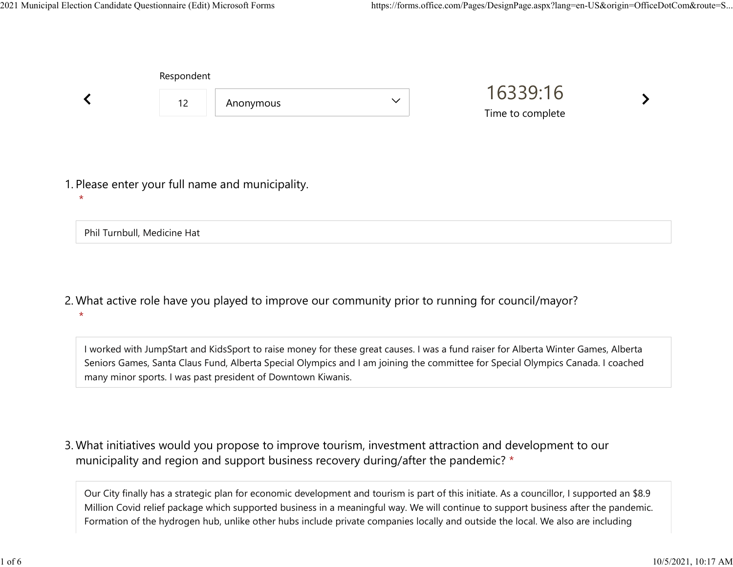Respondent

|                                                             | <b>ILESPOTIUEITE</b> |           |              |                              |  |
|-------------------------------------------------------------|----------------------|-----------|--------------|------------------------------|--|
|                                                             | 12                   | Anonymous | $\checkmark$ | 16339:16<br>Time to complete |  |
|                                                             |                      |           |              |                              |  |
| 1. Please enter your full name and municipality.<br>$\star$ |                      |           |              |                              |  |

Phil Turnbull, Medicine Hat

What active role have you played to improve our community prior to running for council/mayor? 2. \*

I worked with JumpStart and KidsSport to raise money for these great causes. I was a fund raiser for Alberta Winter Games, Alberta Seniors Games, Santa Claus Fund, Alberta Special Olympics and I am joining the committee for Special Olympics Canada. I coached many minor sports. I was past president of Downtown Kiwanis.

What initiatives would you propose to improve tourism, investment attraction and development to our 3. municipality and region and support business recovery during/after the pandemic? \*

Our City finally has a strategic plan for economic development and tourism is part of this initiate. As a councillor, I supported an \$8.9 Million Covid relief package which supported business in a meaningful way. We will continue to support business after the pandemic. Formation of the hydrogen hub, unlike other hubs include private companies locally and outside the local. We also are including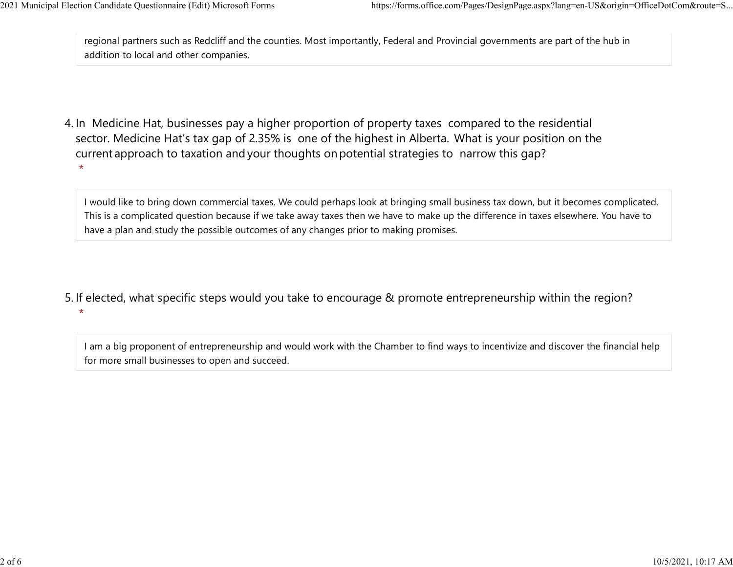regional partners such as Redcliff and the counties. Most importantly, Federal and Provincial governments are part of the hub in addition to local and other companies. 2021 Municipal Election Candidate Questionnaire (Edit) Microsoft Forms https://forms.office.com/Pages/DesignPage.aspx?lang=en-US&origin=OfficeDotCom&route=S...<br>
regional partners such as Redcliff and the counties. Most imp

4. In Medicine Hat, businesses pay a higher proportion of property taxes compared to the residential sector.  Medicine Hat's tax gap of 2.35% is one of the highest in Alberta.  What is your position on the current approach to taxation and your thoughts on potential strategies to narrow this gap? \*

I would like to bring down commercial taxes. We could perhaps look at bringing small business tax down, but it becomes complicated. This is a complicated question because if we take away taxes then we have to make up the difference in taxes elsewhere. You have to have a plan and study the possible outcomes of any changes prior to making promises.

5. If elected, what specific steps would you take to encourage & promote entrepreneurship within the region?  $\star$ 

I am a big proponent of entrepreneurship and would work with the Chamber to find ways to incentivize and discover the financial help for more small businesses to open and succeed.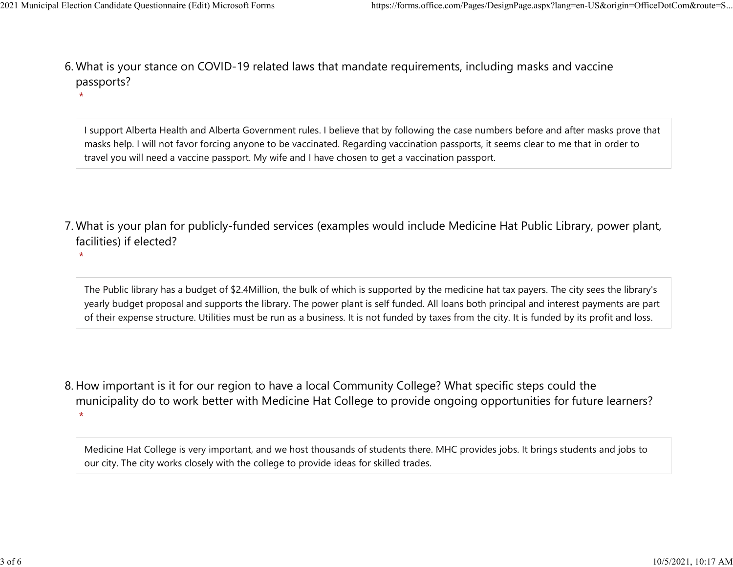$\star$ 

 $\star$ 

What is your stance on COVID-19 related laws that mandate requirements, including masks and vaccine 6. passports? 2021 Municipal Election Candidate Questionnaire (Edit) Microsoft Forms https://forms.office.com/Pages/DesignPage.aspx?lang=en-US&origin=OfficeDotCom&route=S...<br>6 Mhat is vour stance on COVID-19 related laws that mandate re

> I support Alberta Health and Alberta Government rules. I believe that by following the case numbers before and after masks prove that masks help. I will not favor forcing anyone to be vaccinated. Regarding vaccination passports, it seems clear to me that in order to travel you will need a vaccine passport. My wife and I have chosen to get a vaccination passport.

- What is your plan for publicly-funded services (examples would include Medicine Hat Public Library, power plant, 7. facilities) if elected?
	- The Public library has a budget of \$2.4Million, the bulk of which is supported by the medicine hat tax payers. The city sees the library's yearly budget proposal and supports the library. The power plant is self funded. All loans both principal and interest payments are part of their expense structure. Utilities must be run as a business. It is not funded by taxes from the city. It is funded by its profit and loss.
- 8. How important is it for our region to have a local Community College? What specific steps could the municipality do to work better with Medicine Hat College to provide ongoing opportunities for future learners?  $\star$

Medicine Hat College is very important, and we host thousands of students there. MHC provides jobs. It brings students and jobs to our city. The city works closely with the college to provide ideas for skilled trades.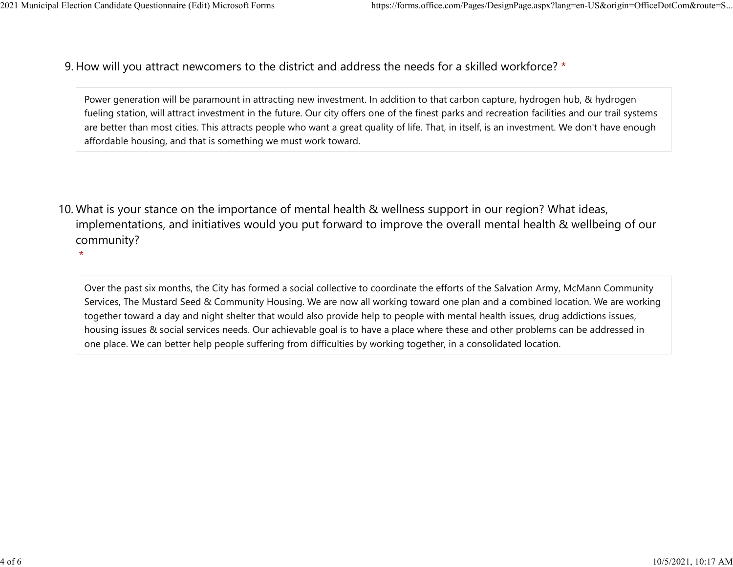9. How will you attract newcomers to the district and address the needs for a skilled workforce? \* 2021 Municipal Election Candidate Questionnaire (Edit) Microsoft Forms https://forms.office.com/Pages/DesignPage.aspx?lang=en-US&origin=OfficeDotCom&route=S...<br>Q How will you attract newcomers to the district and address t

> Power generation will be paramount in attracting new investment. In addition to that carbon capture, hydrogen hub, & hydrogen fueling station, will attract investment in the future. Our city offers one of the finest parks and recreation facilities and our trail systems are better than most cities. This attracts people who want a great quality of life. That, in itself, is an investment. We don't have enough affordable housing, and that is something we must work toward.

10. What is your stance on the importance of mental health & wellness support in our region? What ideas, implementations, and initiatives would you put forward to improve the overall mental health & wellbeing of our community?

 $\star$ 

Over the past six months, the City has formed a social collective to coordinate the efforts of the Salvation Army, McMann Community Services, The Mustard Seed & Community Housing. We are now all working toward one plan and a combined location. We are working together toward a day and night shelter that would also provide help to people with mental health issues, drug addictions issues, housing issues & social services needs. Our achievable goal is to have a place where these and other problems can be addressed in one place. We can better help people suffering from difficulties by working together, in a consolidated location.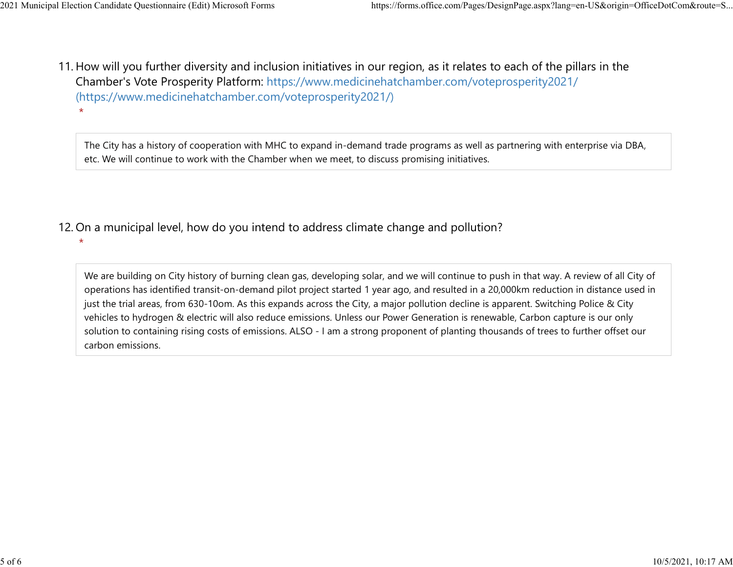$\star$ 

11. How will you further diversity and inclusion initiatives in our region, as it relates to each of the pillars in the Chamber's Vote Prosperity Platform: https://www.medicinehatchamber.com/voteprosperity2021/ (https://www.medicinehatchamber.com/voteprosperity2021/) 2021 Municipal Election Candidate Questionnaire (Edit) Microsoft Forms https://forms.office.com/Pages/DesignPage.aspx?lang=en-US&origin=OfficeDotCom&route=S...<br>11 How will you further diversity and inclusion initiatives in

> The City has a history of cooperation with MHC to expand in-demand trade programs as well as partnering with enterprise via DBA, etc. We will continue to work with the Chamber when we meet, to discuss promising initiatives.

12. On a municipal level, how do you intend to address climate change and pollution?

 $\star$ 

We are building on City history of burning clean gas, developing solar, and we will continue to push in that way. A review of all City of operations has identified transit-on-demand pilot project started 1 year ago, and resulted in a 20,000km reduction in distance used in just the trial areas, from 630-10om. As this expands across the City, a major pollution decline is apparent. Switching Police & City vehicles to hydrogen & electric will also reduce emissions. Unless our Power Generation is renewable, Carbon capture is our only solution to containing rising costs of emissions. ALSO - I am a strong proponent of planting thousands of trees to further offset our carbon emissions.